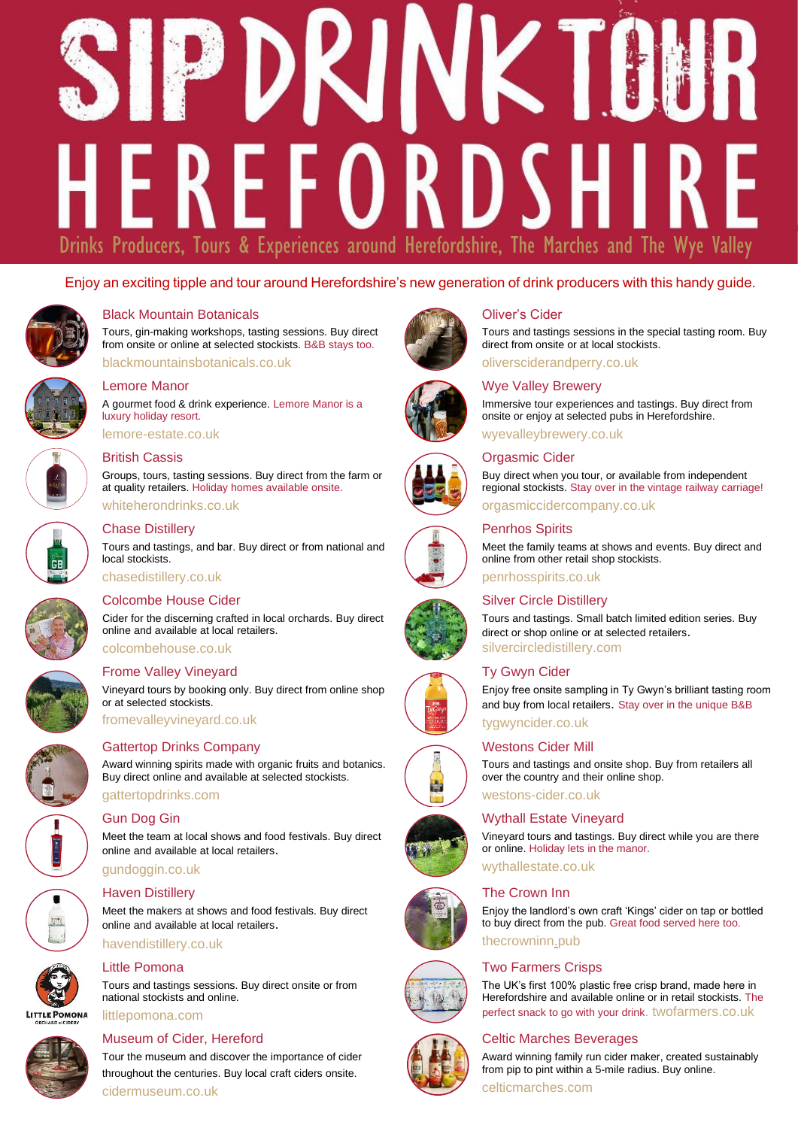# K M **EREFORDSH** Drinks Producers, Tours & Experiences around Herefordshire, The Marches and The Wye Valley

## Enjoy an exciting tipple and tour around Herefordshire's new generation of drink producers with this handy guide.



#### Black Mountain Botanicals

Tours, gin-making workshops, tasting sessions. Buy direct from onsite or online at selected stockists. B&B stays too. [blackmountainsbotanicals.co.uk](https://www.blackmountainsbotanicals.co.uk/)



### Lemore Manor

A gourmet food & drink experience. Lemore Manor is a luxury holiday resort.

[lemore-estate.co.uk](https://www.lemore-estate.co.uk/)

#### British Cassis

Groups, tours, tasting sessions. Buy direct from the farm or at quality retailers. Holiday homes available onsite. [whiteherondrinks.co.uk](https://www.whiteheronproperties.com/)



#### Chase Distillery

Tours and tastings, and bar. Buy direct or from national and local stockists. [chasedistillery.co.uk](https://chasedistillery.co.uk/)

# Colcombe House Cider

Cider for the discerning crafted in local orchards. Buy direct online and available at local retailers. [colcombehouse.co.uk](https://colcombehouse.co.uk/)

#### Frome Valley Vineyard

Vineyard tours by booking only. Buy direct from online shop or at selected stockists.

Award winning spirits made with organic fruits and botanics. Buy direct online and available at selected stockists.

[fromevalleyvineyard.co.uk](https://www.fromevalleyvineyard.co.uk/) Gattertop Drinks Company



# [gattertopdrinks.com](https://gattertopdrinks.com/)

Gun Dog Gin

Meet the team at local shows and food festivals. Buy direct online and available at local retailers.

## [gundoggin.co.uk](https://gundoggin.co.uk/)

#### Haven Distillery

Meet the makers at shows and food festivals. Buy direct online and available at local retailers.

#### [havendistillery.co.uk](https://www.havendistillery.co.uk/)

**LITTLE POMONA** 



#### Little Pomona

Tours and tastings sessions. Buy direct onsite or from national stockists and online.

#### [littlepomona.com](https://littlepomona.com/)

#### Museum of Cider, Hereford

Tour the museum and discover the importance of cider throughout the centuries. Buy local craft ciders onsite. [cidermuseum.co.uk](https://www.cidermuseum.co.uk/)











## Oliver's Cider

Tours and tastings sessions in the special tasting room. Buy direct from onsite or at local stockists. [oliversciderandperry.co.uk](https://www.oliversciderandperry.co.uk/)

#### Wye Valley Brewery

Immersive tour experiences and tastings. Buy direct from onsite or enjoy at selected pubs in Herefordshire.

[wyevalleybrewery.co.uk](https://www.wyevalleybrewery.co.uk/shop/)

#### Orgasmic Cider

Buy direct when you tour, or available from independent regional stockists. Stay over in the vintage railway carriage! [orgasmiccidercompany.co.uk](http://www.orgasmiccidercompany.co.uk/)

## Penrhos Spirits

Meet the family teams at shows and events. Buy direct and online from other retail shop stockists. [penrhosspirits.co.uk](https://www.penrhosspirits.co.uk/)

#### Silver Circle Distillery

Tours and tastings. Small batch limited edition series. Buy direct or shop online or at selected retailers. [silvercircledistillery.com](https://silvercircledistillery.com/)

#### Ty Gwyn Cider

Enjoy free onsite sampling in Ty Gwyn's brilliant tasting room and buy from local retailers. Stay over in the unique B&B

[tygwyncider.co.uk](https://www.tygwyncider.co.uk/)

#### Westons Cider Mill

Tours and tastings and onsite shop. Buy from retailers all over the country and their online shop.

# [westons-cider.co.uk](https://www.westons-cider.co.uk/)

Wythall Estate Vineyard Vineyard tours and tastings. Buy direct while you are there

or online. Holiday lets in the manor. [wythallestate.co.uk](https://wythallestate.co.uk/)

#### The Crown Inn

Enjoy the landlord's own craft 'Kings' cider on tap or bottled to buy direct from the pub. Great food served here too. [thecrowninn.pub](http://www.crowninnwoolhope.co.uk/)

#### Two Farmers Crisps







## Celtic Marches Beverages

Award winning family run cider maker, created sustainably from pip to pint within a 5-mile radius. Buy online.

[celticmarches.com](https://www.celticmarches.com/)